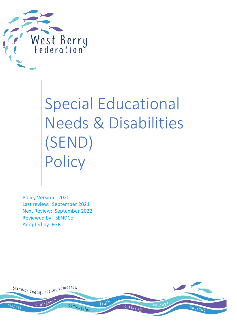

Special Educational Needs & Disabilities (SEND) Policy

Policy Version: 2020 Last review: September 2021 Next Review: September 2022 Reviewed by: SENDCo Adopted by: FGB

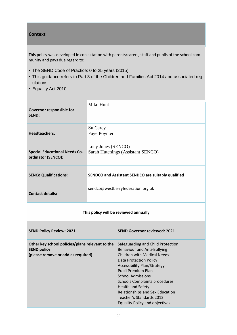#### **Context**

This policy was developed in consultation with parents/carers, staff and pupils of the school community and pays due regard to:

- The SEND Code of Practice: 0 to 25 years (2015)
- This guidance refers to Part 3 of the Children and Families Act 2014 and associated regulations.
- Equality Act 2010

| Governor responsible for<br><b>SEND:</b>                                                                    | Mike Hunt                       |                                                                                                                                                                                                                                                                                                                                                                                                             |  |  |
|-------------------------------------------------------------------------------------------------------------|---------------------------------|-------------------------------------------------------------------------------------------------------------------------------------------------------------------------------------------------------------------------------------------------------------------------------------------------------------------------------------------------------------------------------------------------------------|--|--|
| <b>Headteachers:</b>                                                                                        | Su Carey<br><b>Faye Poynter</b> |                                                                                                                                                                                                                                                                                                                                                                                                             |  |  |
| <b>Special Educational Needs Co-</b><br>ordinator (SENCO):                                                  | Lucy Jones (SENCO)              | Sarah Hutchings (Assistant SENCO)                                                                                                                                                                                                                                                                                                                                                                           |  |  |
| <b>SENCo Qualifications:</b>                                                                                |                                 | SENDCO and Assistant SENDCO are suitably qualified                                                                                                                                                                                                                                                                                                                                                          |  |  |
| <b>Contact details:</b>                                                                                     |                                 | sendco@westberryfederation.org.uk                                                                                                                                                                                                                                                                                                                                                                           |  |  |
| This policy will be reviewed annually                                                                       |                                 |                                                                                                                                                                                                                                                                                                                                                                                                             |  |  |
| <b>SEND Policy Review: 2021</b>                                                                             |                                 | <b>SEND Governor reviewed: 2021</b>                                                                                                                                                                                                                                                                                                                                                                         |  |  |
| Other key school policies/plans relevant to the<br><b>SEND policy</b><br>(please remove or add as required) |                                 | Safeguarding and Child Protection<br><b>Behaviour and Anti-Bullying</b><br><b>Children with Medical Needs</b><br><b>Data Protection Policy</b><br>Accessibility Plan/Strategy<br>Pupil Premium Plan<br><b>School Admissions</b><br><b>Schools Complaints procedures</b><br><b>Health and Safety</b><br>Relationships and Sex Education<br>Teacher's Standards 2012<br><b>Equality Policy and objectives</b> |  |  |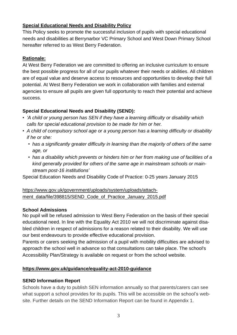### **Special Educational Needs and Disability Policy**

This Policy seeks to promote the successful inclusion of pupils with special educational needs and disabilities at Berrynarbor VC Primary School and West Down Primary School hereafter referred to as West Berry Federation.

### **Rationale:**

At West Berry Federation we are committed to offering an inclusive curriculum to ensure the best possible progress for all of our pupils whatever their needs or abilities. All children are of equal value and deserve access to resources and opportunities to develop their full potential. At West Berry Federation we work in collaboration with families and external agencies to ensure all pupils are given full opportunity to reach their potential and achieve success.

# **Special Educational Needs and Disability (SEND):**

- *• 'A child or young person has SEN if they have a learning difficulty or disability which calls for special educational provision to be made for him or her.*
- *• A child of compulsory school age or a young person has a learning difficulty or disability if he or she:*
	- *• has a significantly greater difficulty in learning than the majority of others of the same age, or*
	- *• has a disability which prevents or hinders him or her from making use of facilities of a kind generally provided for others of the same age in mainstream schools or mainstream post-16 institutions'*

Special Education Needs and Disability Code of Practice: 0-25 years January 2015

## [https://www.gov.uk/government/uploads/system/uploads/attach](https://www.gov.uk/government/uploads/system/uploads/attachment_data/file/398815/SEND_Code_of_Practice_January_2015.pdf)[ment\\_data/file/398815/SEND\\_Code\\_of\\_Practice\\_January\\_2015.pdf](https://www.gov.uk/government/uploads/system/uploads/attachment_data/file/398815/SEND_Code_of_Practice_January_2015.pdf)

### **School Admissions**

No pupil will be refused admission to West Berry Federation on the basis of their special educational need. In line with the Equality Act 2010 we will not discriminate against disabled children in respect of admissions for a reason related to their disability. We will use our best endeavours to provide effective educational provision.

Parents or carers seeking the admission of a pupil with mobility difficulties are advised to approach the school well in advance so that consultations can take place. The school's Accessibility Plan/Strategy is available on request or from the school website.

### **[https://www.gov.uk/guidance/equality-act-2010-guidance](https://www.gov.uk/guidance/equality-act-2010-guidance%23history)**

# **SEND Information Report**

Schools have a duty to publish SEN information annually so that parents/carers can see what support a school provides for its pupils. This will be accessible on the school's website. Further details on the SEND Information Report can be found in Appendix 1.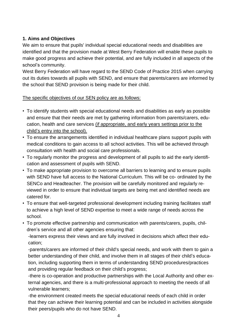### **1. Aims and Objectives**

We aim to ensure that pupils' individual special educational needs and disabilities are identified and that the provision made at West Berry Federation will enable these pupils to make good progress and achieve their potential, and are fully included in all aspects of the school's community.

West Berry Federation will have regard to the SEND Code of Practice 2015 when carrying out its duties towards all pupils with SEND, and ensure that parents/carers are informed by the school that SEND provision is being made for their child.

### The specific objectives of our SEN policy are as follows:

- To identify students with special educational needs and disabilities as early as possible and ensure that their needs are met by gathering information from parents/carers, education, health and care services (if appropriate, and early years settings prior to the child's entry into the school).
- To ensure the arrangements identified in individual healthcare plans support pupils with medical conditions to gain access to all school activities. This will be achieved through consultation with health and social care professionals.
- To regularly monitor the progress and development of all pupils to aid the early identification and assessment of pupils with SEND.
- To make appropriate provision to overcome all barriers to learning and to ensure pupils with SEND have full access to the National Curriculum. This will be co- ordinated by the SENCo and Headteacher. The provision will be carefully monitored and regularly reviewed in order to ensure that individual targets are being met and identified needs are catered for.
- To ensure that well-targeted professional development including training facilitates staff to achieve a high level of SEND expertise to meet a wide range of needs across the school.
- To promote effective partnership and communication with parents/carers, pupils, children's service and all other agencies ensuring that:

-learners express their views and are fully involved in decisions which affect their education;

-parents/carers are informed of their child's special needs, and work with them to gain a better understanding of their child, and involve them in all stages of their child's education, including supporting them in terms of understanding SEND procedures/practices and providing regular feedback on their child's progress;

-there is co-operation and productive partnerships with the Local Authority and other external agencies, and there is a multi-professional approach to meeting the needs of all vulnerable learners;

-the environment created meets the special educational needs of each child in order that they can achieve their learning potential and can be included in activities alongside their peers/pupils who do not have SEND.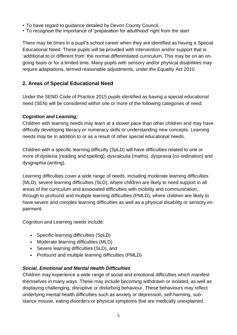- To have regard to guidance detailed by Devon County Council.
- To recognise the importance of 'preparation for adulthood' right from the start

There may be times in a pupil's school career when they are identified as having a Special Educational Need. These pupils will be provided with intervention and/or support that is 'additional to or different from' the normal differentiated curriculum. This may be on an ongoing basis or for a limited time. Many pupils with sensory and/or physical disabilities may require adaptations, termed reasonable adjustments, under the Equality Act 2010.

# **2. Areas of Special Educational Need**

Under the SEND Code of Practice 2015 pupils identified as having a special educational need (SEN) will be considered within one or more of the following categories of need:

### *Cognition and Learning;*

Children with learning needs may learn at a slower pace than other children and may have difficulty developing literacy or numeracy skills or understanding new concepts. Learning needs may be in addition to or as a result of other special educational needs.

Children with a specific learning difficulty (SpLD) will have difficulties related to one or more of dyslexia (reading and spelling), dyscalculia (maths), dyspraxia (co-ordination) and dysgraphia (writing).

Learning difficulties cover a wide range of needs, including moderate learning difficulties (MLD), severe learning difficulties (SLD), where children are likely to need support in all areas of the curriculum and associated difficulties with mobility and communication, through to profound and multiple learning difficulties (PMLD), where children are likely to have severe and complex learning difficulties as well as a physical disability or sensory impairment.

Cognition and Learning needs include:

- Specific learning difficulties (SpLD)
- Moderate learning difficulties (MLD)
- Severe learning difficulties (SLD), and
- Profound and multiple learning difficulties (PMLD)

# *Social, Emotional and Mental Health Difficulties*

Children may experience a wide range of social and emotional difficulties which manifest themselves in many ways. These may include becoming withdrawn or isolated, as well as displaying challenging, disruptive or disturbing behaviour. These behaviours may reflect underlying mental health difficulties such as anxiety or depression, self-harming, substance misuse, eating disorders or physical symptoms that are medically unexplained.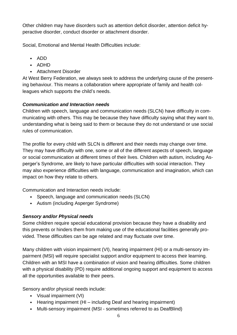Other children may have disorders such as attention deficit disorder, attention deficit hyperactive disorder, conduct disorder or attachment disorder.

Social, Emotional and Mental Health Difficulties include:

- ADD
- ADHD
- Attachment Disorder

At West Berry Federation, we always seek to address the underlying cause of the presenting behaviour. This means a collaboration where appropriate of family and health colleagues which supports the child's needs.

# *Communication and Interaction needs*

Children with speech, language and communication needs (SLCN) have difficulty in communicating with others. This may be because they have difficulty saying what they want to, understanding what is being said to them or because they do not understand or use social rules of communication.

The profile for every child with SLCN is different and their needs may change over time. They may have difficulty with one, some or all of the different aspects of speech, language or social communication at different times of their lives. Children with autism, including Asperger's Syndrome, are likely to have particular difficulties with social interaction. They may also experience difficulties with language, communication and imagination, which can impact on how they relate to others.

Communication and Interaction needs include:

- Speech, language and communication needs (SLCN)
- Autism (including Asperger Syndrome)

# *Sensory and/or Physical needs*

Some children require special educational provision because they have a disability and this prevents or hinders them from making use of the educational facilities generally provided. These difficulties can be age related and may fluctuate over time.

Many children with vision impairment (VI), hearing impairment (HI) or a multi-sensory impairment (MSI) will require specialist support and/or equipment to access their learning. Children with an MSI have a combination of vision and hearing difficulties. Some children with a physical disability (PD) require additional ongoing support and equipment to access all the opportunities available to their peers.

Sensory and/or physical needs include:

- Visual impairment (VI)
- Hearing impairment (HI including Deaf and hearing impairment)
- Multi-sensory impairment (MSI sometimes referred to as DeafBlind)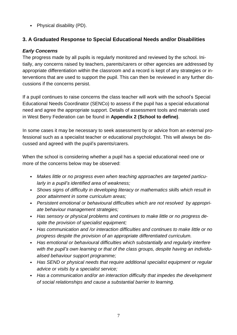• Physical disability (PD).

# **3. A Graduated Response to Special Educational Needs and/or Disabilities**

### *Early Concerns*

The progress made by all pupils is regularly monitored and reviewed by the school. Initially, any concerns raised by teachers, parents/carers or other agencies are addressed by appropriate differentiation within the classroom and a record is kept of any strategies or interventions that are used to support the pupil. This can then be reviewed in any further discussions if the concerns persist.

If a pupil continues to raise concerns the class teacher will work with the school's Special Educational Needs Coordinator (SENCo) to assess if the pupil has a special educational need and agree the appropriate support. Details of assessment tools and materials used in West Berry Federation can be found in **Appendix 2 (School to define)**.

In some cases it may be necessary to seek assessment by or advice from an external professional such as a specialist teacher or educational psychologist. This will always be discussed and agreed with the pupil's parents/carers.

When the school is considering whether a pupil has a special educational need one or more of the concerns below may be observed:

- *Makes little or no progress even when teaching approaches are targeted particularly in a pupil's identified area of weakness;*
- *Shows signs of difficulty in developing literacy or mathematics skills which result in poor attainment in some curriculum areas;*
- *Persistent emotional or behavioural difficulties which are not resolved by appropriate behaviour management strategies;*
- *Has sensory or physical problems and continues to make little or no progress despite the provision of specialist equipment;*
- *Has communication and /or interaction difficulties and continues to make little or no progress despite the provision of an appropriate differentiated curriculum.*
- *Has emotional or behavioural difficulties which substantially and regularly interfere with the pupil's own learning or that of the class groups, despite having an individualised behaviour support programme;*
- *Has SEND or physical needs that require additional specialist equipment or regular advice or visits by a specialist service;*
- *Has a communication and/or an interaction difficulty that impedes the development of social relationships and cause a substantial barrier to learning.*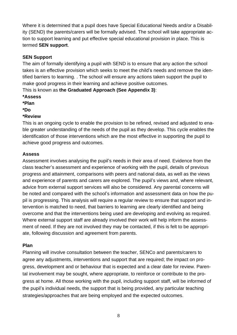Where it is determined that a pupil does have Special Educational Needs and/or a Disability (SEND) the parents/carers will be formally advised. The school will take appropriate action to support learning and put effective special educational provision in place. This is termed **SEN support**.

## **SEN Support**

The aim of formally identifying a pupil with SEND is to ensure that any action the school takes is an effective provision which seeks to meet the child's needs and remove the identified barriers to learning. . The school will ensure any actions taken support the pupil to make good progress in their learning and achieve positive outcomes.

This is known as **the Graduated Approach (See Appendix 3)**:

- **\*Assess**
- **\*Plan**
- **\*Do**

### **\*Review**

This is an ongoing cycle to enable the provision to be refined, revised and adjusted to enable greater understanding of the needs of the pupil as they develop. This cycle enables the identification of those interventions which are the most effective in supporting the pupil to achieve good progress and outcomes.

#### **Assess**

Assessment involves analysing the pupil's needs in their area of need. Evidence from the class teacher's assessment and experience of working with the pupil, details of previous progress and attainment, comparisons with peers and national data, as well as the views and experience of parents and carers are explored. The pupil's views and, where relevant, advice from external support services will also be considered. Any parental concerns will be noted and compared with the school's information and assessment data on how the pupil is progressing. This analysis will require a regular review to ensure that support and intervention is matched to need, that barriers to learning are clearly identified and being overcome and that the interventions being used are developing and evolving as required. Where external support staff are already involved their work will help inform the assessment of need. If they are not involved they may be contacted, if this is felt to be appropriate, following discussion and agreement from parents.

### **Plan**

Planning will involve consultation between the teacher, SENCo and parents/carers to agree any adjustments, interventions and support that are required; the impact on progress, development and or behaviour that is expected and a clear date for review. Parental involvement may be sought, where appropriate, to reinforce or contribute to the progress at home. All those working with the pupil, including support staff, will be informed of the pupil's individual needs, the support that is being provided, any particular teaching strategies/approaches that are being employed and the expected outcomes.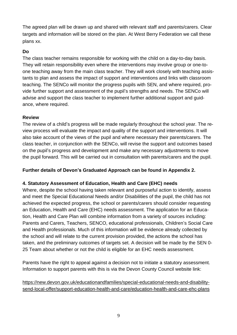The agreed plan will be drawn up and shared with relevant staff and parents/carers. Clear targets and information will be stored on the plan. At West Berry Federation we call these plans xx.

### **Do**

The class teacher remains responsible for working with the child on a day-to-day basis. They will retain responsibility even where the interventions may involve group or one-toone teaching away from the main class teacher. They will work closely with teaching assistants to plan and assess the impact of support and interventions and links with classroom teaching. The SENCo will monitor the progress pupils with SEN, and where required, provide further support and assessment of the pupil's strengths and needs. The SENCo will advise and support the class teacher to implement further additional support and guidance, where required.

#### **Review**

The review of a child's progress will be made regularly throughout the school year. The review process will evaluate the impact and quality of the support and interventions. It will also take account of the views of the pupil and where necessary their parents/carers. The class teacher, in conjunction with the SENCo, will revise the support and outcomes based on the pupil's progress and development and make any necessary adjustments to move the pupil forward. This will be carried out in consultation with parents/carers and the pupil.

### **Further details of Devon's Graduated Approach can be found in Appendix 2.**

#### **4. Statutory Assessment of Education, Health and Care (EHC) needs**

Where, despite the school having taken relevant and purposeful action to identify, assess and meet the Special Educational Needs and/or Disabilities of the pupil, the child has not achieved the expected progress, the school or parents/carers should consider requesting an Education, Health and Care (EHC) needs assessment. The application for an Education, Health and Care Plan will combine information from a variety of sources including: Parents and Carers, Teachers, SENCO, educational professionals, Children's Social Care and Health professionals. Much of this information will be evidence already collected by the school and will relate to the current provision provided, the actions the school has taken, and the preliminary outcomes of targets set. A decision will be made by the SEN 0- 25 Team about whether or not the child is eligible for an EHC needs assessment.

Parents have the right to appeal against a decision not to initiate a statutory assessment. Information to support parents with this is via the Devon County Council website link:

[https://new.devon.gov.uk/educationandfamilies/special-educational-needs-and-disability](https://new.devon.gov.uk/educationandfamilies/special-educational-needs-and-disability-send-local-offer/support-education-health-and-care/education-health-and-care-ehc-plans)[send-local-offer/support-education-health-and-care/education-health-and-care-ehc-plans](https://new.devon.gov.uk/educationandfamilies/special-educational-needs-and-disability-send-local-offer/support-education-health-and-care/education-health-and-care-ehc-plans)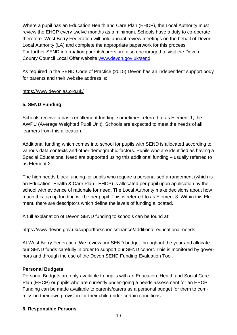Where a pupil has an Education Health and Care Plan (EHCP), the Local Authority must review the EHCP every twelve months as a minimum. Schools have a duty to co-operate therefore West Berry Federation will hold annual review meetings on the behalf of Devon Local Authority (LA) and complete the appropriate paperwork for this process. For further SEND information parents/carers are also encouraged to visit the Devon County Council Local Offer website [www.devon.gov.uk/send.](http://www.devon.gov.uk/send)

As required in the SEND Code of Practice (2015) Devon has an independent support body for parents and their website address is:

#### <https://www.devonias.org.uk/>

### **5. SEND Funding**

Schools receive a basic entitlement funding, sometimes referred to as Element 1, the AWPU (Average Weighted Pupil Unit). Schools are expected to meet the needs of **all** learners from this allocation.

Additional funding which comes into school for pupils with SEND is allocated according to various data contexts and other demographic factors. Pupils who are identified as having a Special Educational Need are supported using this additional funding – usually referred to as Element 2.

The high needs block funding for pupils who require a personalised arrangement (which is an Education, Health & Care Plan - EHCP) is allocated per pupil upon application by the school with evidence of rationale for need. The Local Authority make decisions about how much this top up funding will be per pupil. This is referred to as Element 3. Within this Element, there are descriptors which define the levels of funding allocated.

A full explanation of Devon SEND funding to schools can be found at:

### <https://www.devon.gov.uk/supportforschools/finance/additional-educational-needs>

At West Berry Federation. We review our SEND budget throughout the year and allocate our SEND funds carefully in order to support our SEND cohort. This is monitored by governors and through the use of the Devon SEND Funding Evaluation Tool.

#### **Personal Budgets**

Personal Budgets are only available to pupils with an Education, Health and Social Care Plan (EHCP) or pupils who are currently under-going a needs assessment for an EHCP. Funding can be made available to parents/carers as a personal budget for them to commission their own provision for their child under certain conditions.

### **6. Responsible Persons**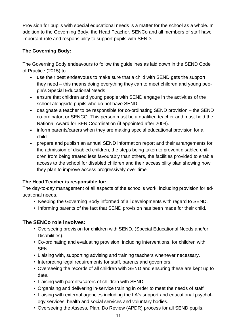Provision for pupils with special educational needs is a matter for the school as a whole. In addition to the Governing Body, the Head Teacher, SENCo and all members of staff have important role and responsibility to support pupils with SEND.

## **The Governing Body:**

The Governing Body endeavours to follow the guidelines as laid down in the SEND Code of Practice (2015) to:

- use their best endeavours to make sure that a child with SEND gets the support they need – this means doing everything they can to meet children and young people's Special Educational Needs
- ensure that children and young people with SEND engage in the activities of the school alongside pupils who do not have SEND
- designate a teacher to be responsible for co-ordinating SEND provision the SEND co-ordinator, or SENCO. This person must be a qualified teacher and must hold the National Award for SEN Coordination (if appointed after 2008).
- inform parents/carers when they are making special educational provision for a child
- prepare and publish an annual SEND information report and their arrangements for the admission of disabled children, the steps being taken to prevent disabled children from being treated less favourably than others, the facilities provided to enable access to the school for disabled children and their accessibility plan showing how they plan to improve access progressively over time

### **The Head Teacher is responsible for:**

The day-to-day management of all aspects of the school's work, including provision for educational needs.

- Keeping the Governing Body informed of all developments with regard to SEND.
- Informing parents of the fact that SEND provision has been made for their child.

# **The SENCo role involves:**

- Overseeing provision for children with SEND. (Special Educational Needs and/or Disabilities).
- Co-ordinating and evaluating provision, including interventions, for children with **SEN.**
- Liaising with, supporting advising and training teachers whenever necessary.
- Interpreting legal requirements for staff, parents and governors.
- Overseeing the records of all children with SEND and ensuring these are kept up to date.
- Liaising with parents/carers of children with SEND.
- Organising and delivering in-service training in order to meet the needs of staff.
- Liaising with external agencies including the LA's support and educational psychology services, health and social services and voluntary bodies.
- Overseeing the Assess, Plan, Do Review (APDR) process for all SEND pupils.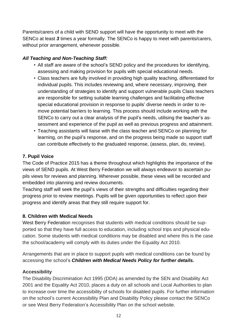Parents/carers of a child with SEND support will have the opportunity to meet with the SENCo at least *3* times a year formally. The SENCo is happy to meet with parents/carers, without prior arrangement, whenever possible.

#### *All Teaching and Non-Teaching Staff:*

- All staff are aware of the school's SEND policy and the procedures for identifying, assessing and making provision for pupils with special educational needs.
- Class teachers are fully involved in providing high quality teaching, differentiated for individual pupils. This includes reviewing and, where necessary, improving, their understanding of strategies to identify and support vulnerable pupils Class teachers are responsible for setting suitable learning challenges and facilitating effective special educational provision in response to pupils' diverse needs in order to remove potential barriers to learning. This process should include working with the SENCo to carry out a clear analysis of the pupil's needs, utilising the teacher's assessment and experience of the pupil as well as previous progress and attainment.
- Teaching assistants will liaise with the class teacher and SENCo on planning for learning, on the pupil's response, and on the progress being made so support staff can contribute effectively to the graduated response, (assess, plan, do, review).

### **7. Pupil Voice**

The Code of Practice 2015 has a theme throughout which highlights the importance of the views of SEND pupils. At West Berry Federation we will always endeavor to ascertain pupils views for reviews and planning. Wherever possible, these views will be recorded and embedded into planning and review documents.

Teaching staff will seek the pupil's views of their strengths and difficulties regarding their progress prior to review meetings. Pupils will be given opportunities to reflect upon their progress and identify areas that they still require support for.

#### **8. Children with Medical Needs**

West Berry Federation recognises that students with medical conditions should be supported so that they have full access to education, including school trips and physical education. Some students with medical conditions may be disabled and where this is the case the school/academy will comply with its duties under the Equality Act 2010.

Arrangements that are in place to support pupils with medical conditions can be found by accessing the school's *Children with Medical Needs Policy for further details.*

#### **Accessibility**

The Disability Discrimination Act 1995 (DDA) as amended by the SEN and Disability Act 2001 and the Equality Act 2010, places a duty on all schools and Local Authorities to plan to increase over time the accessibility of schools for disabled pupils. For further information on the school's current Accessibility Plan and Disability Policy please contact the SENCo or see West Berry Federation's Accessibility Plan on the school website.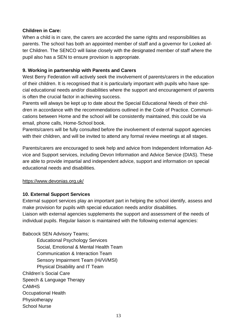#### **Children in Care:**

When a child is in care, the carers are accorded the same rights and responsibilities as parents. The school has both an appointed member of staff and a governor for Looked after Children. The SENCO will liaise closely with the designated member of staff where the pupil also has a SEN to ensure provision is appropriate.

#### **9. Working in partnership with Parents and Carers**

West Berry Federation will actively seek the involvement of parents/carers in the education of their children. It is recognised that it is particularly important with pupils who have special educational needs and/or disabilities where the support and encouragement of parents is often the crucial factor in achieving success.

Parents will always be kept up to date about the Special Educational Needs of their children in accordance with the recommendations outlined in the Code of Practice. Communications between Home and the school will be consistently maintained, this could be via email, phone calls, Home-School book.

Parents/carers will be fully consulted before the involvement of external support agencies with their children, and will be invited to attend any formal review meetings at all stages.

Parents/carers are encouraged to seek help and advice from Independent Information Advice and Support services, including Devon Information and Advice Service (DIAS). These are able to provide impartial and independent advice, support and information on special educational needs and disabilities.

#### <https://www.devonias.org.uk/>

#### **10. External Support Services**

External support services play an important part in helping the school identify, assess and make provision for pupils with special education needs and/or disabilities.

Liaison with external agencies supplements the support and assessment of the needs of individual pupils. Regular liaison is maintained with the following external agencies:

Babcock SEN Advisory Teams;

Educational Psychology Services Social, Emotional & Mental Health Team Communication & Interaction Team Sensory Impairment Team (Hi/Vi/MSI) Physical Disability and IT Team Children's Social Care Speech & Language Therapy **CAMHS** Occupational Health **Physiotherapy** School Nurse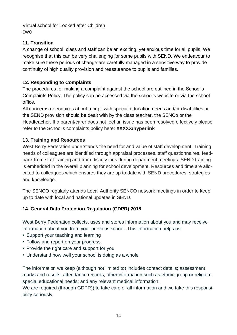Virtual school for Looked after Children EWO

## **11. Transition**

A change of school, class and staff can be an exciting, yet anxious time for all pupils. We recognise that this can be very challenging for some pupils with SEND. We endeavour to make sure these periods of change are carefully managed in a sensitive way to provide continuity of high quality provision and reassurance to pupils and families.

## **12. Responding to Complaints**

The procedures for making a complaint against the school are outlined in the School's Complaints Policy. The policy can be accessed via the school's website or via the school office.

All concerns or enquires about a pupil with special education needs and/or disabilities or the SEND provision should be dealt with by the class teacher, the SENCo or the Headteacher. If a parent/carer does not feel an issue has been resolved effectively please refer to the School's complaints policy here: **XXXXX/hyperlink**

## **13. Training and Resources**

West Berry Federation understands the need for and value of staff development. Training needs of colleagues are identified through appraisal processes, staff questionnaires, feedback from staff training and from discussions during department meetings. SEND training is embedded in the overall planning for school development. Resources and time are allocated to colleagues which ensures they are up to date with SEND procedures, strategies and knowledge.

The SENCO regularly attends Local Authority SENCO network meetings in order to keep up to date with local and national updates in SEND.

# **14. General Data Protection Regulation (GDPR) 2018**

West Berry Federation collects, uses and stores information about you and may receive information about you from your previous school. This information helps us:

- Support your teaching and learning
- Follow and report on your progress
- Provide the right care and support for you
- Understand how well your school is doing as a whole

The information we keep (although not limited to) includes contact details; assessment marks and results, attendance records; other information such as ethnic group or religion; special educational needs; and any relevant medical information.

We are required (through GDPR)) to take care of all information and we take this responsibility seriously.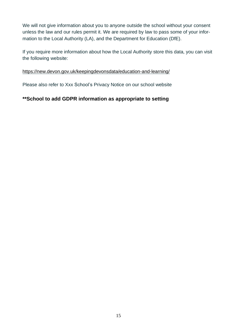We will not give information about you to anyone outside the school without your consent unless the law and our rules permit it. We are required by law to pass some of your information to the Local Authority (LA), and the Department for Education (DfE).

If you require more information about how the Local Authority store this data, you can visit the following website:

#### <https://new.devon.gov.uk/keepingdevonsdata/education-and-learning/>

Please also refer to Xxx School's Privacy Notice on our school website

# **\*\*School to add GDPR information as appropriate to setting**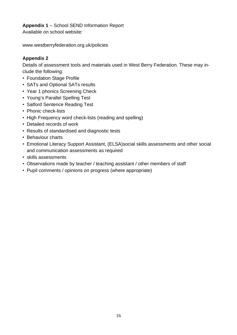**Appendix 1** – School SEND Information Report

Available on school website:

www.westberryfederation.org.uk/policies

# **Appendix 2**

Details of assessment tools and materials used in West Berry Federation. These may include the following:

- Foundation Stage Profile
- SATs and Optional SATs results
- Year 1 phonics Screening Check
- Young's Parallel Spelling Test
- Salford Sentence Reading Test
- Phonic check-lists
- High Frequency word check-lists (reading and spelling)
- Detailed records of work
- Results of standardised and diagnostic tests
- Behaviour charts
- Emotional Literacy Support Assistant, (ELSA)social skills assessments and other social and communication assessments as required
- skills assessments
- Observations made by teacher / teaching assistant / other members of staff
- Pupil comments / opinions on progress (where appropriate)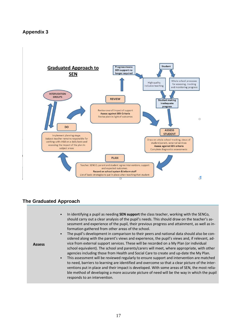#### **Appendix 3**



#### **The Graduated Approach**

| <b>Assess</b> | In identifying a pupil as needing SEN support the class teacher, working with the SENCo,<br>should carry out a clear analysis of the pupil's needs. This should draw on the teacher's as-<br>sessment and experience of the pupil, their previous progress and attainment, as well as in-<br>formation gathered from other areas of the school.<br>The pupil's development in comparison to their peers and national data should also be con-<br>$\bullet$<br>sidered along with the parent's views and experience, the pupil's views and, if relevant, ad-<br>vice from external support services. These will be recorded on a My Plan (or individual<br>school equivalent). The school and parents/carers will meet, where appropriate, with other<br>agencies including those from Health and Social Care to create and up-date the My Plan.<br>This assessment will be reviewed regularly to ensure support and intervention are matched<br>$\bullet$<br>to need, barriers to learning are identified and overcome so that a clear picture of the inter-<br>ventions put in place and their impact is developed. With some areas of SEN, the most relia-<br>ble method of developing a more accurate picture of need will be the way in which the pupil<br>responds to an intervention. |
|---------------|---------------------------------------------------------------------------------------------------------------------------------------------------------------------------------------------------------------------------------------------------------------------------------------------------------------------------------------------------------------------------------------------------------------------------------------------------------------------------------------------------------------------------------------------------------------------------------------------------------------------------------------------------------------------------------------------------------------------------------------------------------------------------------------------------------------------------------------------------------------------------------------------------------------------------------------------------------------------------------------------------------------------------------------------------------------------------------------------------------------------------------------------------------------------------------------------------------------------------------------------------------------------------------------------|
|---------------|---------------------------------------------------------------------------------------------------------------------------------------------------------------------------------------------------------------------------------------------------------------------------------------------------------------------------------------------------------------------------------------------------------------------------------------------------------------------------------------------------------------------------------------------------------------------------------------------------------------------------------------------------------------------------------------------------------------------------------------------------------------------------------------------------------------------------------------------------------------------------------------------------------------------------------------------------------------------------------------------------------------------------------------------------------------------------------------------------------------------------------------------------------------------------------------------------------------------------------------------------------------------------------------------|